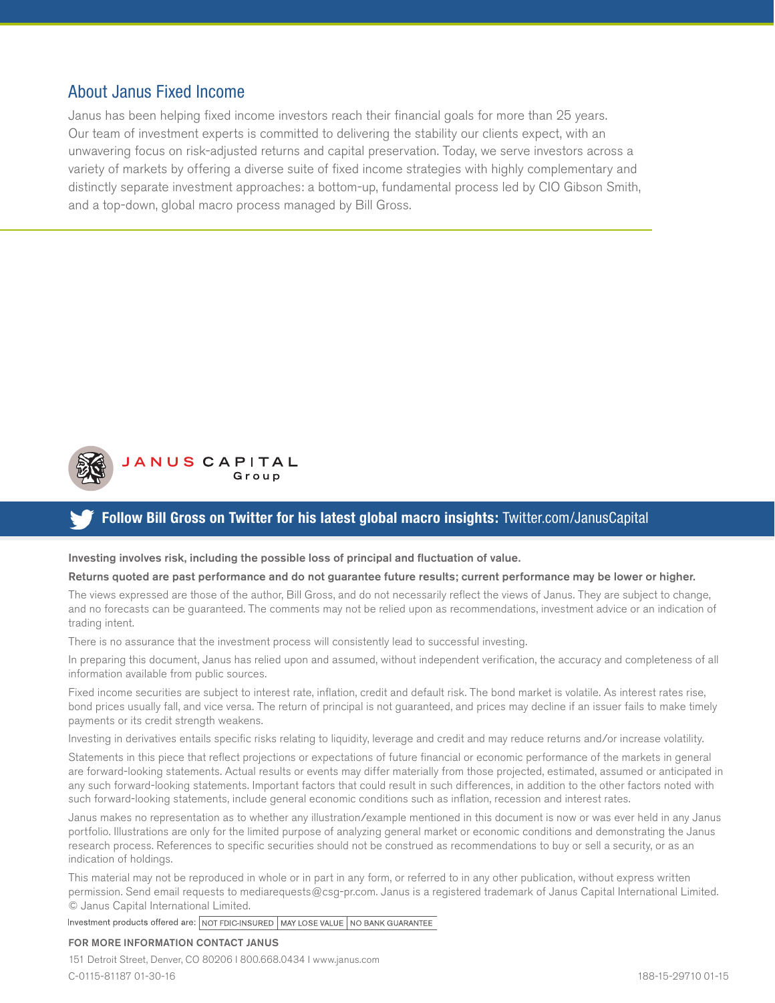# About Janus Fixed Income

Janus has been helping fixed income investors reach their financial goals for more than 25 years. Our team of investment experts is committed to delivering the stability our clients expect, with an unwavering focus on risk-adjusted returns and capital preservation. Today, we serve investors across a variety of markets by offering a diverse suite of fixed income strategies with highly complementary and distinctly separate investment approaches: a bottom-up, fundamental process led by CIO Gibson Smith, and a top-down, global macro process managed by Bill Gross.



### JANUS CAPITAL Group

## **Follow Bill Gross on Twitter for his latest global macro insights:** Twitter.com/JanusCapital

#### Investing involves risk, including the possible loss of principal and fluctuation of value.

#### Returns quoted are past performance and do not guarantee future results; current performance may be lower or higher.

The views expressed are those of the author, Bill Gross, and do not necessarily reflect the views of Janus. They are subject to change, and no forecasts can be guaranteed. The comments may not be relied upon as recommendations, investment advice or an indication of trading intent.

There is no assurance that the investment process will consistently lead to successful investing.

In preparing this document, Janus has relied upon and assumed, without independent verification, the accuracy and completeness of all information available from public sources.

Fixed income securities are subject to interest rate, inflation, credit and default risk. The bond market is volatile. As interest rates rise, bond prices usually fall, and vice versa. The return of principal is not guaranteed, and prices may decline if an issuer fails to make timely payments or its credit strength weakens.

Investing in derivatives entails specific risks relating to liquidity, leverage and credit and may reduce returns and/or increase volatility.

Statements in this piece that reflect projections or expectations of future financial or economic performance of the markets in general are forward-looking statements. Actual results or events may differ materially from those projected, estimated, assumed or anticipated in any such forward-looking statements. Important factors that could result in such differences, in addition to the other factors noted with such forward-looking statements, include general economic conditions such as inflation, recession and interest rates.

Janus makes no representation as to whether any illustration/example mentioned in this document is now or was ever held in any Janus portfolio. Illustrations are only for the limited purpose of analyzing general market or economic conditions and demonstrating the Janus research process. References to specific securities should not be construed as recommendations to buy or sell a security, or as an indication of holdings.

This material may not be reproduced in whole or in part in any form, or referred to in any other publication, without express written permission. Send email requests to mediarequests@csg-pr.com. Janus is a registered trademark of Janus Capital International Limited. © Janus Capital International Limited.

Investment products offered are: NOT FDIC-INSURED MAY LOSE VALUE NO BANK GUARANTEE

#### FOR MORE INFORMATION CONTACT JANUS

151 Detroit Street, Denver, CO 80206 I 800.668.0434 I www.janus.com C-0115-81187 01-30-16 188-15-29710 01-15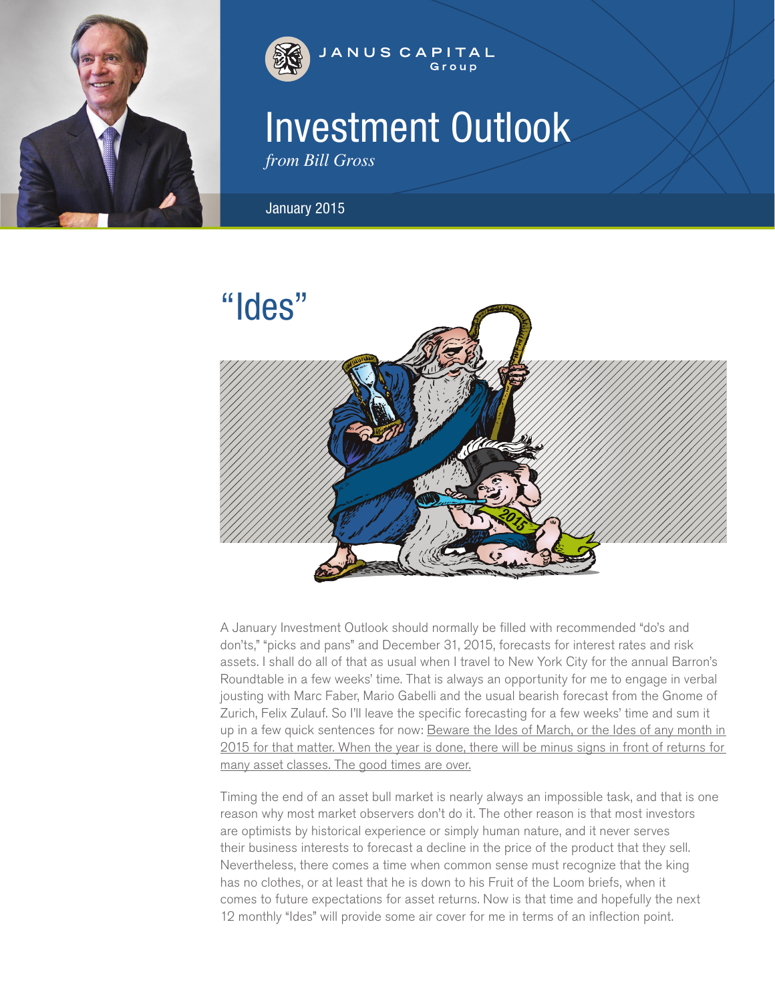



# Investment Outlook

*from Bill Gross*

January 2015



A January Investment Outlook should normally be filled with recommended "do's and don'ts," "picks and pans" and December 31, 2015, forecasts for interest rates and risk assets. I shall do all of that as usual when I travel to New York City for the annual Barron's Roundtable in a few weeks' time. That is always an opportunity for me to engage in verbal jousting with Marc Faber, Mario Gabelli and the usual bearish forecast from the Gnome of Zurich, Felix Zulauf. So I'll leave the specific forecasting for a few weeks' time and sum it up in a few quick sentences for now: Beware the Ides of March, or the Ides of any month in 2015 for that matter. When the year is done, there will be minus signs in front of returns for many asset classes. The good times are over.

Timing the end of an asset bull market is nearly always an impossible task, and that is one reason why most market observers don't do it. The other reason is that most investors are optimists by historical experience or simply human nature, and it never serves their business interests to forecast a decline in the price of the product that they sell. Nevertheless, there comes a time when common sense must recognize that the king has no clothes, or at least that he is down to his Fruit of the Loom briefs, when it comes to future expectations for asset returns. Now is that time and hopefully the next 12 monthly "Ides" will provide some air cover for me in terms of an inflection point.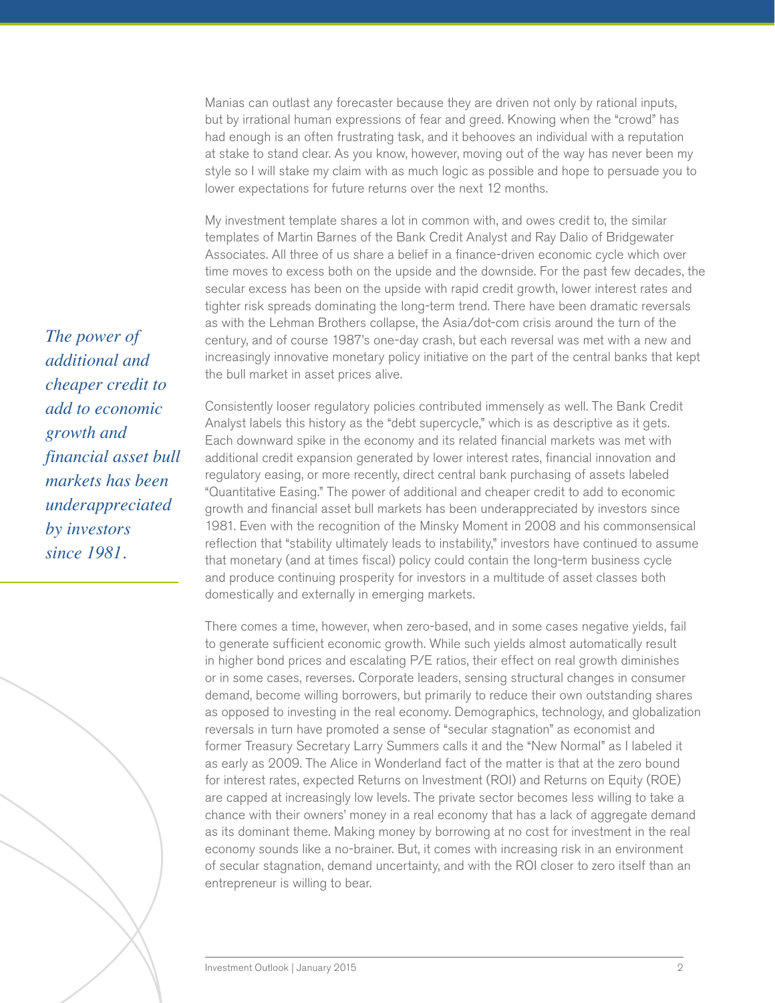Manias can outlast any forecaster because they are driven not only by rational inputs, but by irrational human expressions of fear and greed. Knowing when the "crowd" has had enough is an often frustrating task, and it behooves an individual with a reputation at stake to stand clear. As you know, however, moving out of the way has never been my style so I will stake my claim with as much logic as possible and hope to persuade you to lower expectations for future returns over the next 12 months.

My investment template shares a lot in common with, and owes credit to, the similar templates of Martin Barnes of the Bank Credit Analyst and Ray Dalio of Bridgewater Associates. All three of us share a belief in a finance-driven economic cycle which over time moves to excess both on the upside and the downside. For the past few decades, the secular excess has been on the upside with rapid credit growth, lower interest rates and tighter risk spreads dominating the long-term trend. There have been dramatic reversals as with the Lehman Brothers collapse, the Asia/dot-com crisis around the turn of the century, and of course 1987's one-day crash, but each reversal was met with a new and increasingly innovative monetary policy initiative on the part of the central banks that kept the bull market in asset prices alive.

Consistently looser regulatory policies contributed immensely as well. The Bank Credit Analyst labels this history as the "debt supercycle," which is as descriptive as it gets. Each downward spike in the economy and its related financial markets was met with additional credit expansion generated by lower interest rates, financial innovation and regulatory easing, or more recently, direct central bank purchasing of assets labeled "Quantitative Easing." The power of additional and cheaper credit to add to economic growth and financial asset bull markets has been underappreciated by investors since 1981. Even with the recognition of the Minsky Moment in 2008 and his commonsensical reflection that "stability ultimately leads to instability," investors have continued to assume that monetary (and at times fiscal) policy could contain the long-term business cycle and produce continuing prosperity for investors in a multitude of asset classes both domestically and externally in emerging markets.

There comes a time, however, when zero-based, and in some cases negative yields, fail to generate sufficient economic growth. While such yields almost automatically result in higher bond prices and escalating P/E ratios, their effect on real growth diminishes or in some cases, reverses. Corporate leaders, sensing structural changes in consumer demand, become willing borrowers, but primarily to reduce their own outstanding shares as opposed to investing in the real economy. Demographics, technology, and globalization reversals in turn have promoted a sense of "secular stagnation" as economist and former Treasury Secretary Larry Summers calls it and the "New Normal" as I labeled it as early as 2009. The Alice in Wonderland fact of the matter is that at the zero bound for interest rates, expected Returns on Investment (ROI) and Returns on Equity (ROE) are capped at increasingly low levels. The private sector becomes less willing to take a chance with their owners' money in a real economy that has a lack of aggregate demand as its dominant theme. Making money by borrowing at no cost for investment in the real economy sounds like a no-brainer. But, it comes with increasing risk in an environment of secular stagnation, demand uncertainty, and with the ROI closer to zero itself than an entrepreneur is willing to bear.

*The power of additional and cheaper credit to add to economic growth and financial asset bull markets has been underappreciated by investors since 1981.*